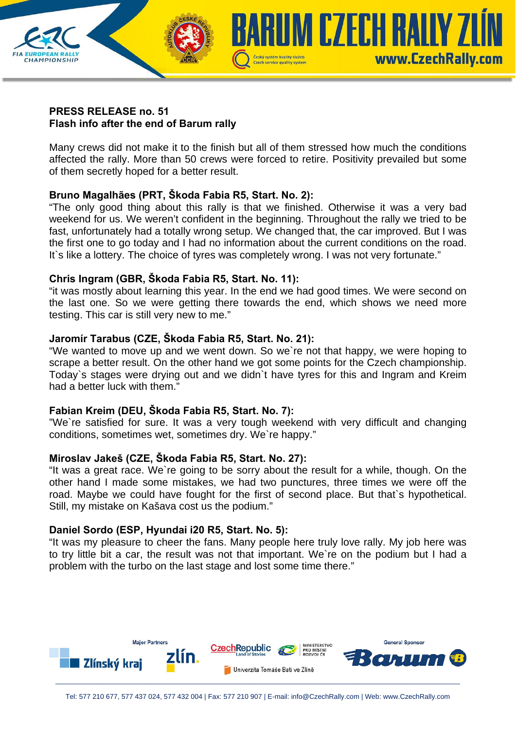

## **PRESS RELEASE no. 51 Flash info after the end of Barum rally**

Many crews did not make it to the finish but all of them stressed how much the conditions affected the rally. More than 50 crews were forced to retire. Positivity prevailed but some of them secretly hoped for a better result.

# **Bruno Magalhães (PRT, Škoda Fabia R5, Start. No. 2):**

"The only good thing about this rally is that we finished. Otherwise it was a very bad weekend for us. We weren't confident in the beginning. Throughout the rally we tried to be fast, unfortunately had a totally wrong setup. We changed that, the car improved. But I was the first one to go today and I had no information about the current conditions on the road. It's like a lottery. The choice of tyres was completely wrong. I was not very fortunate."

# **Chris Ingram (GBR, Škoda Fabia R5, Start. No. 11):**

"it was mostly about learning this year. In the end we had good times. We were second on the last one. So we were getting there towards the end, which shows we need more testing. This car is still very new to me."

# **Jaromír Tarabus (CZE, Škoda Fabia R5, Start. No. 21):**

"We wanted to move up and we went down. So we`re not that happy, we were hoping to scrape a better result. On the other hand we got some points for the Czech championship. Today`s stages were drying out and we didn`t have tyres for this and Ingram and Kreim had a better luck with them."

## **Fabian Kreim (DEU, Škoda Fabia R5, Start. No. 7):**

"We`re satisfied for sure. It was a very tough weekend with very difficult and changing conditions, sometimes wet, sometimes dry. We`re happy."

## **Miroslav Jakeš (CZE, Škoda Fabia R5, Start. No. 27):**

"It was a great race. We`re going to be sorry about the result for a while, though. On the other hand I made some mistakes, we had two punctures, three times we were off the road. Maybe we could have fought for the first of second place. But that`s hypothetical. Still, my mistake on Kašava cost us the podium."

## **Daniel Sordo (ESP, Hyundai i20 R5, Start. No. 5):**

"It was my pleasure to cheer the fans. Many people here truly love rally. My job here was to try little bit a car, the result was not that important. We`re on the podium but I had a problem with the turbo on the last stage and lost some time there."